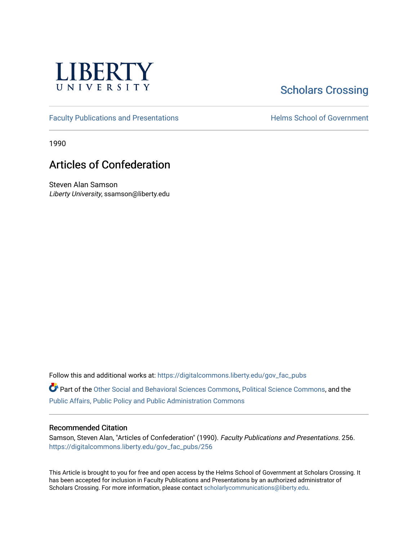

## [Scholars Crossing](https://digitalcommons.liberty.edu/)

[Faculty Publications and Presentations](https://digitalcommons.liberty.edu/gov_fac_pubs) **Exercise School of Government** 

1990

## Articles of Confederation

Steven Alan Samson Liberty University, ssamson@liberty.edu

Follow this and additional works at: [https://digitalcommons.liberty.edu/gov\\_fac\\_pubs](https://digitalcommons.liberty.edu/gov_fac_pubs?utm_source=digitalcommons.liberty.edu%2Fgov_fac_pubs%2F256&utm_medium=PDF&utm_campaign=PDFCoverPages)

Part of the [Other Social and Behavioral Sciences Commons](http://network.bepress.com/hgg/discipline/437?utm_source=digitalcommons.liberty.edu%2Fgov_fac_pubs%2F256&utm_medium=PDF&utm_campaign=PDFCoverPages), [Political Science Commons](http://network.bepress.com/hgg/discipline/386?utm_source=digitalcommons.liberty.edu%2Fgov_fac_pubs%2F256&utm_medium=PDF&utm_campaign=PDFCoverPages), and the [Public Affairs, Public Policy and Public Administration Commons](http://network.bepress.com/hgg/discipline/393?utm_source=digitalcommons.liberty.edu%2Fgov_fac_pubs%2F256&utm_medium=PDF&utm_campaign=PDFCoverPages)

## Recommended Citation

Samson, Steven Alan, "Articles of Confederation" (1990). Faculty Publications and Presentations. 256. [https://digitalcommons.liberty.edu/gov\\_fac\\_pubs/256](https://digitalcommons.liberty.edu/gov_fac_pubs/256?utm_source=digitalcommons.liberty.edu%2Fgov_fac_pubs%2F256&utm_medium=PDF&utm_campaign=PDFCoverPages)

This Article is brought to you for free and open access by the Helms School of Government at Scholars Crossing. It has been accepted for inclusion in Faculty Publications and Presentations by an authorized administrator of Scholars Crossing. For more information, please contact [scholarlycommunications@liberty.edu.](mailto:scholarlycommunications@liberty.edu)